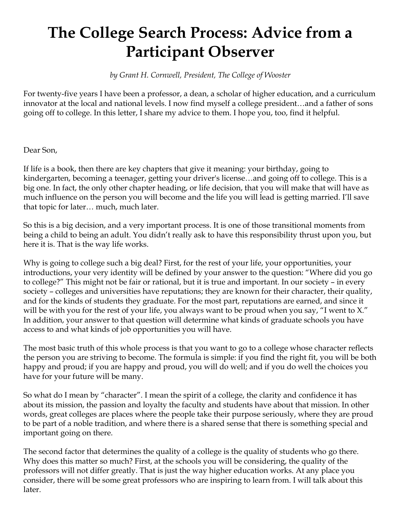## **The College Search Process: Advice from a Participant Observer**

*by Grant H. Cornwell, President, The College of Wooster*

For twenty-five years I have been a professor, a dean, a scholar of higher education, and a curriculum innovator at the local and national levels. I now find myself a college president…and a father of sons going off to college. In this letter, I share my advice to them. I hope you, too, find it helpful.

Dear Son,

If life is a book, then there are key chapters that give it meaning: your birthday, going to kindergarten, becoming a teenager, getting your driver's license…and going off to college. This is a big one. In fact, the only other chapter heading, or life decision, that you will make that will have as much influence on the person you will become and the life you will lead is getting married. I'll save that topic for later… much, much later.

So this is a big decision, and a very important process. It is one of those transitional moments from being a child to being an adult. You didn't really ask to have this responsibility thrust upon you, but here it is. That is the way life works.

Why is going to college such a big deal? First, for the rest of your life, your opportunities, your introductions, your very identity will be defined by your answer to the question: "Where did you go to college?" This might not be fair or rational, but it is true and important. In our society – in every society – colleges and universities have reputations; they are known for their character, their quality, and for the kinds of students they graduate. For the most part, reputations are earned, and since it will be with you for the rest of your life, you always want to be proud when you say, "I went to X." In addition, your answer to that question will determine what kinds of graduate schools you have access to and what kinds of job opportunities you will have.

The most basic truth of this whole process is that you want to go to a college whose character reflects the person you are striving to become. The formula is simple: if you find the right fit, you will be both happy and proud; if you are happy and proud, you will do well; and if you do well the choices you have for your future will be many.

So what do I mean by "character". I mean the spirit of a college, the clarity and confidence it has about its mission, the passion and loyalty the faculty and students have about that mission. In other words, great colleges are places where the people take their purpose seriously, where they are proud to be part of a noble tradition, and where there is a shared sense that there is something special and important going on there.

The second factor that determines the quality of a college is the quality of students who go there. Why does this matter so much? First, at the schools you will be considering, the quality of the professors will not differ greatly. That is just the way higher education works. At any place you consider, there will be some great professors who are inspiring to learn from. I will talk about this later.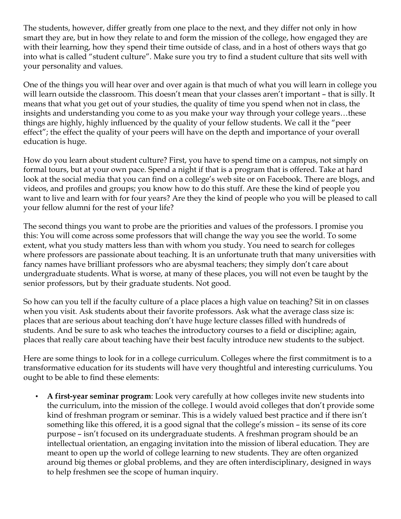The students, however, differ greatly from one place to the next, and they differ not only in how smart they are, but in how they relate to and form the mission of the college, how engaged they are with their learning, how they spend their time outside of class, and in a host of others ways that go into what is called "student culture". Make sure you try to find a student culture that sits well with your personality and values.

One of the things you will hear over and over again is that much of what you will learn in college you will learn outside the classroom. This doesn't mean that your classes aren't important – that is silly. It means that what you get out of your studies, the quality of time you spend when not in class, the insights and understanding you come to as you make your way through your college years…these things are highly, highly influenced by the quality of your fellow students. We call it the "peer effect"; the effect the quality of your peers will have on the depth and importance of your overall education is huge.

How do you learn about student culture? First, you have to spend time on a campus, not simply on formal tours, but at your own pace. Spend a night if that is a program that is offered. Take at hard look at the social media that you can find on a college's web site or on Facebook. There are blogs, and videos, and profiles and groups; you know how to do this stuff. Are these the kind of people you want to live and learn with for four years? Are they the kind of people who you will be pleased to call your fellow alumni for the rest of your life?

The second things you want to probe are the priorities and values of the professors. I promise you this: You will come across some professors that will change the way you see the world. To some extent, what you study matters less than with whom you study. You need to search for colleges where professors are passionate about teaching. It is an unfortunate truth that many universities with fancy names have brilliant professors who are abysmal teachers; they simply don't care about undergraduate students. What is worse, at many of these places, you will not even be taught by the senior professors, but by their graduate students. Not good.

So how can you tell if the faculty culture of a place places a high value on teaching? Sit in on classes when you visit. Ask students about their favorite professors. Ask what the average class size is: places that are serious about teaching don't have huge lecture classes filled with hundreds of students. And be sure to ask who teaches the introductory courses to a field or discipline; again, places that really care about teaching have their best faculty introduce new students to the subject.

Here are some things to look for in a college curriculum. Colleges where the first commitment is to a transformative education for its students will have very thoughtful and interesting curriculums. You ought to be able to find these elements:

• **A first-year seminar program**: Look very carefully at how colleges invite new students into the curriculum, into the mission of the college. I would avoid colleges that don't provide some kind of freshman program or seminar. This is a widely valued best practice and if there isn't something like this offered, it is a good signal that the college's mission – its sense of its core purpose – isn't focused on its undergraduate students. A freshman program should be an intellectual orientation, an engaging invitation into the mission of liberal education. They are meant to open up the world of college learning to new students. They are often organized around big themes or global problems, and they are often interdisciplinary, designed in ways to help freshmen see the scope of human inquiry.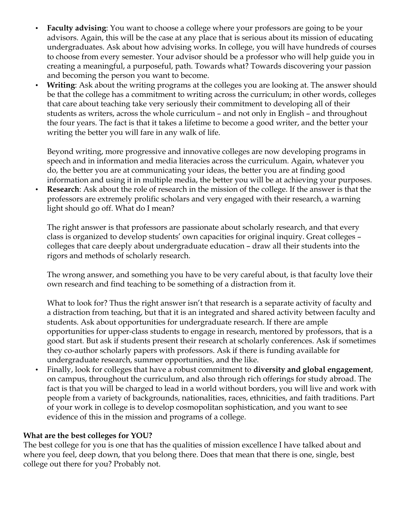- **Faculty advising:** You want to choose a college where your professors are going to be your advisors. Again, this will be the case at any place that is serious about its mission of educating undergraduates. Ask about how advising works. In college, you will have hundreds of courses to choose from every semester. Your advisor should be a professor who will help guide you in creating a meaningful, a purposeful, path. Towards what? Towards discovering your passion and becoming the person you want to become.
- **Writing**: Ask about the writing programs at the colleges you are looking at. The answer should be that the college has a commitment to writing across the curriculum; in other words, colleges that care about teaching take very seriously their commitment to developing all of their students as writers, across the whole curriculum – and not only in English – and throughout the four years. The fact is that it takes a lifetime to become a good writer, and the better your writing the better you will fare in any walk of life.

Beyond writing, more progressive and innovative colleges are now developing programs in speech and in information and media literacies across the curriculum. Again, whatever you do, the better you are at communicating your ideas, the better you are at finding good information and using it in multiple media, the better you will be at achieving your purposes.

• **Research**: Ask about the role of research in the mission of the college. If the answer is that the professors are extremely prolific scholars and very engaged with their research, a warning light should go off. What do I mean?

The right answer is that professors are passionate about scholarly research, and that every class is organized to develop students' own capacities for original inquiry. Great colleges – colleges that care deeply about undergraduate education – draw all their students into the rigors and methods of scholarly research.

The wrong answer, and something you have to be very careful about, is that faculty love their own research and find teaching to be something of a distraction from it.

What to look for? Thus the right answer isn't that research is a separate activity of faculty and a distraction from teaching, but that it is an integrated and shared activity between faculty and students. Ask about opportunities for undergraduate research. If there are ample opportunities for upper-class students to engage in research, mentored by professors, that is a good start. But ask if students present their research at scholarly conferences. Ask if sometimes they co-author scholarly papers with professors. Ask if there is funding available for undergraduate research, summer opportunities, and the like.

• Finally, look for colleges that have a robust commitment to **diversity and global engagement**, on campus, throughout the curriculum, and also through rich offerings for study abroad. The fact is that you will be charged to lead in a world without borders, you will live and work with people from a variety of backgrounds, nationalities, races, ethnicities, and faith traditions. Part of your work in college is to develop cosmopolitan sophistication, and you want to see evidence of this in the mission and programs of a college.

## **What are the best colleges for YOU?**

The best college for you is one that has the qualities of mission excellence I have talked about and where you feel, deep down, that you belong there. Does that mean that there is one, single, best college out there for you? Probably not.